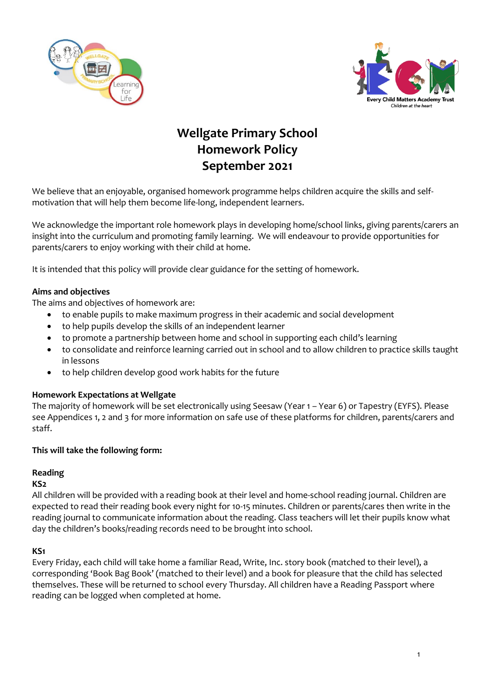



# **Wellgate Primary School Homework Policy September 2021**

We believe that an enjoyable, organised homework programme helps children acquire the skills and selfmotivation that will help them become life-long, independent learners.

We acknowledge the important role homework plays in developing home/school links, giving parents/carers an insight into the curriculum and promoting family learning. We will endeavour to provide opportunities for parents/carers to enjoy working with their child at home.

It is intended that this policy will provide clear guidance for the setting of homework.

### **Aims and objectives**

The aims and objectives of homework are:

- to enable pupils to make maximum progress in their academic and social development
- to help pupils develop the skills of an independent learner
- to promote a partnership between home and school in supporting each child's learning
- to consolidate and reinforce learning carried out in school and to allow children to practice skills taught in lessons
- to help children develop good work habits for the future

### **Homework Expectations at Wellgate**

The majority of homework will be set electronically using Seesaw (Year 1 – Year 6) or Tapestry (EYFS). Please see Appendices 1, 2 and 3 for more information on safe use of these platforms for children, parents/carers and staff.

#### **This will take the following form:**

### **Reading**

#### **KS2**

All children will be provided with a reading book at their level and home-school reading journal. Children are expected to read their reading book every night for 10-15 minutes. Children or parents/cares then write in the reading journal to communicate information about the reading. Class teachers will let their pupils know what day the children's books/reading records need to be brought into school.

#### **KS1**

Every Friday, each child will take home a familiar Read, Write, Inc. story book (matched to their level), a corresponding 'Book Bag Book' (matched to their level) and a book for pleasure that the child has selected themselves. These will be returned to school every Thursday. All children have a Reading Passport where reading can be logged when completed at home.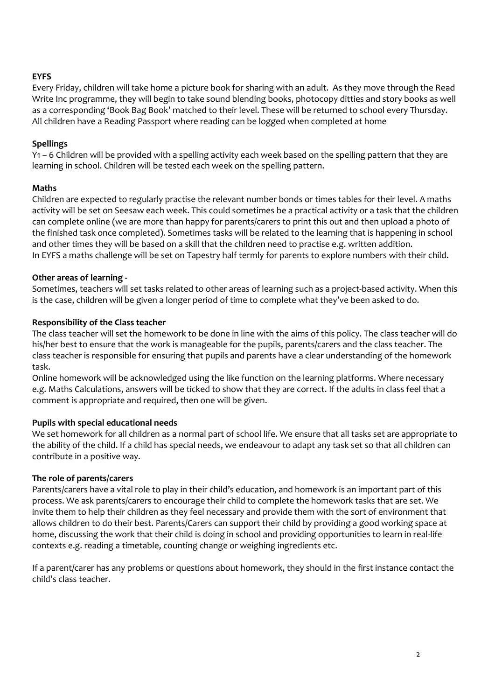## **EYFS**

Every Friday, children will take home a picture book for sharing with an adult. As they move through the Read Write Inc programme, they will begin to take sound blending books, photocopy ditties and story books as well as a corresponding 'Book Bag Book' matched to their level. These will be returned to school every Thursday. All children have a Reading Passport where reading can be logged when completed at home

## **Spellings**

Y1 – 6 Children will be provided with a spelling activity each week based on the spelling pattern that they are learning in school. Children will be tested each week on the spelling pattern.

### **Maths**

Children are expected to regularly practise the relevant number bonds or times tables for their level. A maths activity will be set on Seesaw each week. This could sometimes be a practical activity or a task that the children can complete online (we are more than happy for parents/carers to print this out and then upload a photo of the finished task once completed). Sometimes tasks will be related to the learning that is happening in school and other times they will be based on a skill that the children need to practise e.g. written addition. In EYFS a maths challenge will be set on Tapestry half termly for parents to explore numbers with their child.

### **Other areas of learning -**

Sometimes, teachers will set tasks related to other areas of learning such as a project-based activity. When this is the case, children will be given a longer period of time to complete what they've been asked to do.

### **Responsibility of the Class teacher**

The class teacher will set the homework to be done in line with the aims of this policy. The class teacher will do his/her best to ensure that the work is manageable for the pupils, parents/carers and the class teacher. The class teacher is responsible for ensuring that pupils and parents have a clear understanding of the homework task.

Online homework will be acknowledged using the like function on the learning platforms. Where necessary e.g. Maths Calculations, answers will be ticked to show that they are correct. If the adults in class feel that a comment is appropriate and required, then one will be given.

### **Pupils with special educational needs**

We set homework for all children as a normal part of school life. We ensure that all tasks set are appropriate to the ability of the child. If a child has special needs, we endeavour to adapt any task set so that all children can contribute in a positive way.

### **The role of parents/carers**

Parents/carers have a vital role to play in their child's education, and homework is an important part of this process. We ask parents/carers to encourage their child to complete the homework tasks that are set. We invite them to help their children as they feel necessary and provide them with the sort of environment that allows children to do their best. Parents/Carers can support their child by providing a good working space at home, discussing the work that their child is doing in school and providing opportunities to learn in real-life contexts e.g. reading a timetable, counting change or weighing ingredients etc.

If a parent/carer has any problems or questions about homework, they should in the first instance contact the child's class teacher.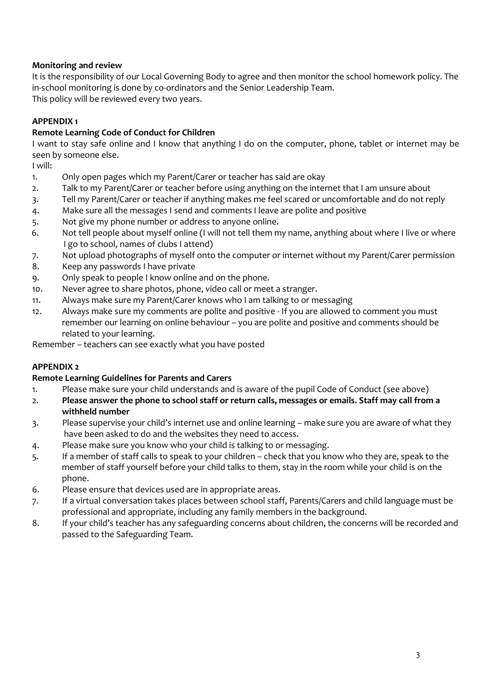# **Monitoring and review**

It is the responsibility of our Local Governing Body to agree and then monitor the school homework policy. The in-school monitoring is done by co-ordinators and the Senior Leadership Team. This policy will be reviewed every two years.

## **APPENDIX 1**

## **Remote Learning Code of Conduct for Children**

I want to stay safe online and I know that anything I do on the computer, phone, tablet or internet may be seen by someone else.

I will:

- 1. Only open pages which my Parent/Carer or teacher has said are okay
- 2. Talk to my Parent/Carer or teacher before using anything on the internet that I am unsure about
- 3. Tell my Parent/Carer or teacher if anything makes me feel scared or uncomfortable and do not reply
- 4. Make sure all the messages I send and comments I leave are polite and positive
- 5. Not give my phone number or address to anyone online.
- 6. Not tell people about myself online (I will not tell them my name, anything about where I live or where I go to school, names of clubs I attend)
- 7. Not upload photographs of myself onto the computer or internet without my Parent/Carer permission
- 8. Keep any passwords I have private
- 9. Only speak to people I know online and on the phone.
- 10. Never agree to share photos, phone, video call or meet a stranger.
- 11. Always make sure my Parent/Carer knows who I am talking to or messaging
- 12. Always make sure my comments are polite and positive If you are allowed to comment you must remember our learning on online behaviour – you are polite and positive and comments should be related to your learning.

Remember – teachers can see exactly what you have posted

# **APPENDIX 2**

# **Remote Learning Guidelines for Parents and Carers**

- 1. Please make sure your child understands and is aware of the pupil Code of Conduct (see above)
- 2. **Please answer the phone to school staff or return calls, messages or emails. Staff may call from a withheld number**
- 3. Please supervise your child's internet use and online learning make sure you are aware of what they have been asked to do and the websites they need to access.
- 4. Please make sure you know who your child is talking to or messaging.
- 5. If a member of staff calls to speak to your children check that you know who they are, speak to the member of staff yourself before your child talks to them, stay in the room while your child is on the phone.
- 6. Please ensure that devices used are in appropriate areas.
- 7. If a virtual conversation takes places between school staff, Parents/Carers and child language must be professional and appropriate, including any family members in the background.
- 8. If your child's teacher has any safeguarding concerns about children, the concerns will be recorded and passed to the Safeguarding Team.